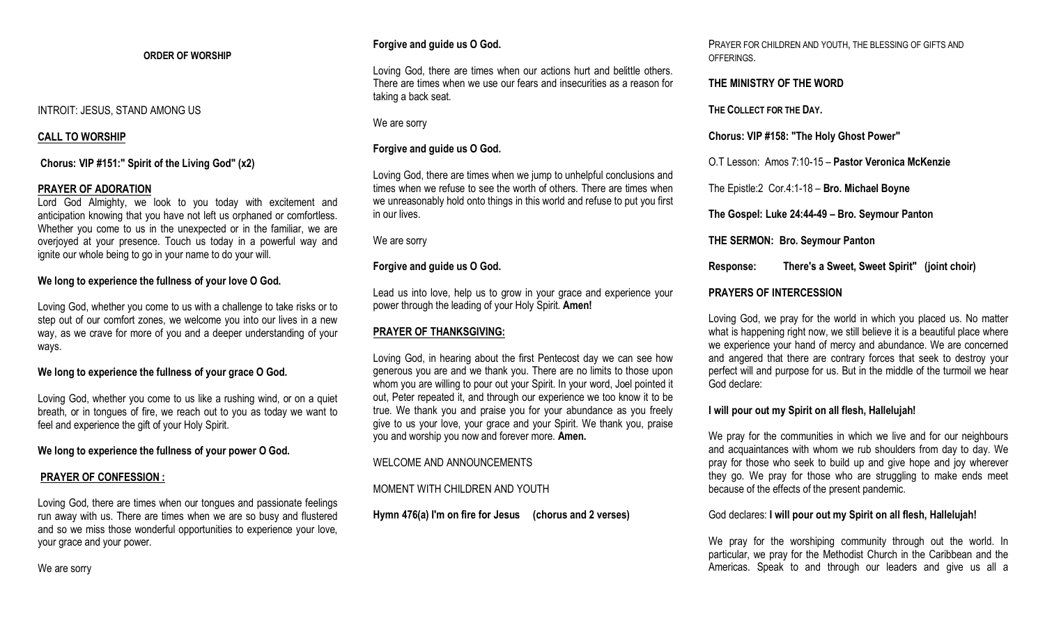### **ORDER OF WORSHIP**

## INTROIT: JESUS, STAND AMONG US

### **CALL TO WORSHIP**

**Chorus: VIP #151:" Spirit of the Living God" (x2)** 

### **PRAYER OF ADORATION**

Lord God Almighty, we look to you today with excitement and anticipation knowing that you have not left us orphaned or comfortless. Whether you come to us in the unexpected or in the familiar, we are overjoyed at your presence. Touch us today in a powerful way and ignite our whole being to go in your name to do your will.

## **We long to experience the fullness of your love O God.**

Loving God, whether you come to us with a challenge to take risks or to step out of our comfort zones, we welcome you into our lives in a new way, as we crave for more of you and a deeper understanding of your ways.

# **We long to experience the fullness of your grace O God.**

Loving God, whether you come to us like a rushing wind, or on a quiet breath, or in tongues of fire, we reach out to you as today we want to feel and experience the gift of your Holy Spirit.

**We long to experience the fullness of your power O God.**

#### **PRAYER OF CONFESSION :**

Loving God, there are times when our tongues and passionate feelings run away with us. There are times when we are so busy and flustered and so we miss those wonderful opportunities to experience your love, your grace and your power.

## **Forgive and guide us O God.**

Loving God, there are times when our actions hurt and belittle others. There are times when we use our fears and insecurities as a reason for taking a back seat.

We are sorry

## **Forgive and guide us O God.**

Loving God, there are times when we jump to unhelpful conclusions and times when we refuse to see the worth of others. There are times when we unreasonably hold onto things in this world and refuse to put you first in our lives.

We are sorry

## **Forgive and guide us O God.**

Lead us into love, help us to grow in your grace and experience your power through the leading of your Holy Spirit. **Amen!**

## **PRAYER OF THANKSGIVING:**

Loving God, in hearing about the first Pentecost day we can see how generous you are and we thank you. There are no limits to those upon whom you are willing to pour out your Spirit. In your word, Joel pointed it out, Peter repeated it, and through our experience we too know it to be true. We thank you and praise you for your abundance as you freely give to us your love, your grace and your Spirit. We thank you, praise you and worship you now and forever more. **Amen.**

## WELCOME AND ANNOUNCEMENTS

## MOMENT WITH CHILDREN AND YOUTH

**Hymn 476(a) I'm on fire for Jesus (chorus and 2 verses)** 

PRAYER FOR CHILDREN AND YOUTH, THE BLESSING OF GIFTS AND OFFERINGS.

### **THE MINISTRY OF THE WORD**

**THE COLLECT FOR THE DAY.**

**Chorus: VIP #158: "The Holy Ghost Power"** 

O.T Lesson: Amos 7:10-15 – **Pastor Veronica McKenzie**

The Epistle:2 Cor.4:1-18 – **Bro. Michael Boyne**

**The Gospel: Luke 24:44-49 – Bro. Seymour Panton**

**THE SERMON: Bro. Seymour Panton**

**Response: There's a Sweet, Sweet Spirit" (joint choir)** 

## **PRAYERS OF INTERCESSION**

Loving God, we pray for the world in which you placed us. No matter what is happening right now, we still believe it is a beautiful place where we experience your hand of mercy and abundance. We are concerned and angered that there are contrary forces that seek to destroy your perfect will and purpose for us. But in the middle of the turmoil we hear God declare:

**I will pour out my Spirit on all flesh, Hallelujah!**

We pray for the communities in which we live and for our neighbours and acquaintances with whom we rub shoulders from day to day. We pray for those who seek to build up and give hope and joy wherever they go. We pray for those who are struggling to make ends meet because of the effects of the present pandemic.

God declares: **I will pour out my Spirit on all flesh, Hallelujah!**

We pray for the worshiping community through out the world. In particular, we pray for the Methodist Church in the Caribbean and the Americas. Speak to and through our leaders and give us all a

We are sorry